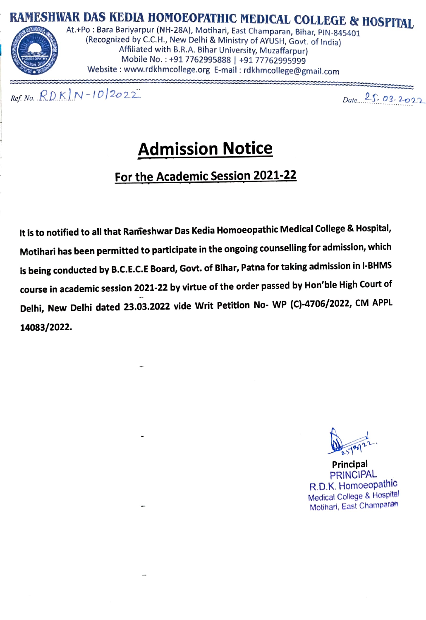



(Recognized by C.C.H., New Delhi & Ministry of AYUSH, Govt. of India) Mobile No.: +91 7762995888 | +91 77762995999 Website www.rdkhmcollege.org E-mail: rdkhmcollege@gmail.com

 $Ref. No. \quad RDK|N-10|2022 \qquad \qquad$  Date. 25.03.2022

# Admission Notice

### For the Academic Session 2021-22

It is to notified to all that Rameshwar Das Kedia Homoeopathic Medical College & Hospital, Motihari has been permitted to participate in the ongoing counselling for admission, which is being conducted by B.c.E.C.E Board, Govt. of Bihar, Patna for taking admission in l-BHMS course in academic session 2021-22 by virtue of the order passed by Hon'ble High Court of Delhi, New Delhi dated 23.03.2022 vide Writ Petition No- WP (C)-4706/2022, CM APPL 14083/2022.

 $3922$ 

Principal PRINCIPAL R.D.K. Homoeopathic Medical College& Hospital Motihari, East Champaran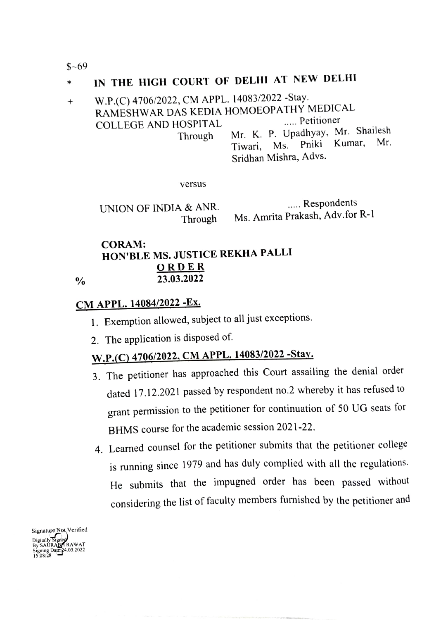$$~69$ 

#### IN THE HIGH COURT OF DELHI AT NEW DELHI  $\ast$

#### W.P.(C) 4706/2022, CM APPL. 14083/2022 -Stay.  $^{+}$ RAMESHWAR DAS KEDIA HOMOEOPATHY MEDICAL COLLEGE AND HOSPITAL Mr. K. P. Upadhyay, Mr. Shailesh Through Mr. K. P. Opadnyay, Mr. Shancen<br>Tiwari, Ms. Pniki Kumar, Mr. Sridhan Mishra, Advs.

versus

UNION OF INDIA & ANR. Through

..... Respondents Ms. Amrita Prakash, Adv.for R-1

#### CORAM: HON'BLE MS. JUSTICE REKHA PALLI ORDER 23.03.2022

 $\frac{0}{0}$ 

### CM APPL. 14084/2022-Ex.

- 1. Exemption allowed, subject to all just exceptions
- 2. The application is disposed of.

## w.P.C) 4706/2022, CM APPL. 14083/2022 -Stay.

- 3. The petitioner has approached this Court assailing the denial order dated 17.12.2021 passed by respondent no.2 whereby it has refused to grant permission to the petitioner for continuation of 50 UG seats for BHMS course for the academic session 2021-22.
- 4. Learned counsel for the petitioner submits that the petitioner college is running since 1979 and has duly complied with all the regulations. He submits that the impugned order has been passed without considering the list of faculty members fumished by the petitioner and

Signature Not Verified Digitally Signed<br>By SAURABA RAWAT<br>Signing Date: 24.03.2022<br>15.08:28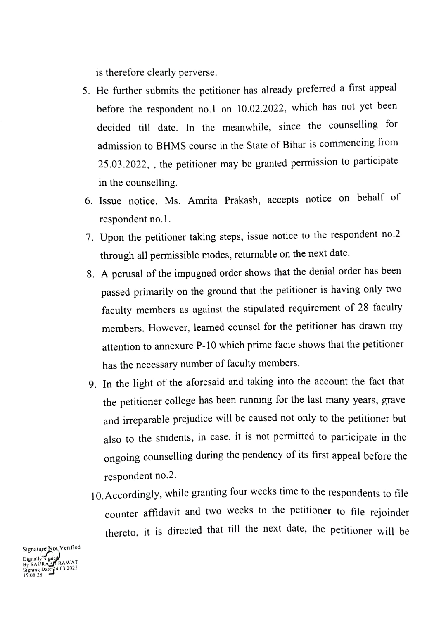is therefore clearly perverse.

- 5. He futher submits the petitioner has already preferred a first appeal before the respondent no.1 on 10.02.2022, which has not yet been decided till date. In the meanwhile, since the counselling for admission to BHMS course in the State of Bihar is commencing from 25.03.2022, , the petitioner may be granted permission to participate in the counselling.
- 6. Issue notice. Ms. Amrita Prakash, accepts notice on behalf of respondent no.1.
- 7. Upon the petitioner taking steps, issue notice to the respondent no.2 through all permissible modes, returnable on the next date.
- 8. A perusal of the impugned order shows that the denial order has been passed primarily on the ground that the petitioner is having only two faculty members as against the stipulated requirement of 28 faculty members. However, learned counsel for the petitioner has drawn my attention to annexure P-10 which prime facie shows that the petitioner has the necessary number of faculty members.
- 9. In the light of the aforesaid and taking into the account the fact that the petitioner college has been running for the last many years, grave and irreparable prejudice will be caused not only to the petitioner but also to the students, in case, it is not permitted to participate in the ongoing counselling during the pendency of its first appeal before the respondent no.2.
- 10.Accordingly, while granting four weeks time to the respondents to file counter affidavit and two weeks to the petitioner to file rejoinder thereto, it is directed that till the next date, the petitioner will be